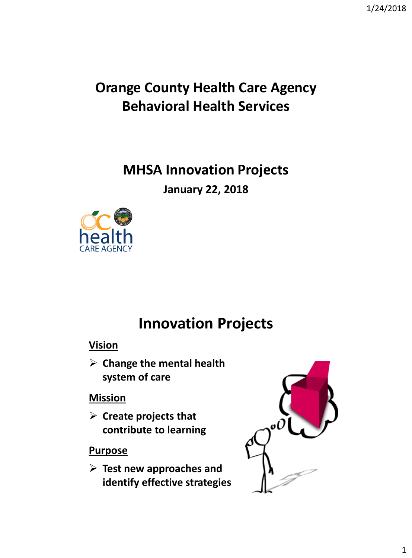### **Orange County Health Care Agency Behavioral Health Services**

### **MHSA Innovation Projects**

**January 22, 2018**



## **Innovation Projects**

#### **Vision**

 **Change the mental health system of care** 

#### **Mission**

 **Create projects that contribute to learning**

#### **Purpose**

 **Test new approaches and identify effective strategies** 

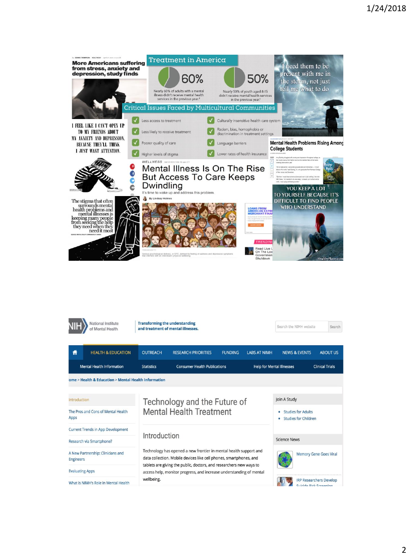

| National Institute<br>of Mental Health                |                                                      | <b>Transforming the understanding</b><br>and treatment of mental illnesses.                                                                                                                                                                                                           |                                     |                |                                  | Search the NIMH website                                       | Search                 |  |
|-------------------------------------------------------|------------------------------------------------------|---------------------------------------------------------------------------------------------------------------------------------------------------------------------------------------------------------------------------------------------------------------------------------------|-------------------------------------|----------------|----------------------------------|---------------------------------------------------------------|------------------------|--|
| Ħ                                                     | <b>HEALTH &amp; EDUCATION</b>                        | <b>OUTREACH</b>                                                                                                                                                                                                                                                                       | <b>RESEARCH PRIORITIES</b>          | <b>FUNDING</b> | <b>LABS AT NIMH</b>              | <b>NEWS &amp; EVENTS</b>                                      | <b>ABOUT US</b>        |  |
|                                                       | <b>Mental Health Information</b>                     | <b>Statistics</b>                                                                                                                                                                                                                                                                     | <b>Consumer Health Publications</b> |                | <b>Help for Mental Illnesses</b> |                                                               | <b>Clinical Trials</b> |  |
|                                                       | ome > Health & Education > Mental Health Information |                                                                                                                                                                                                                                                                                       |                                     |                |                                  |                                                               |                        |  |
|                                                       |                                                      |                                                                                                                                                                                                                                                                                       |                                     |                |                                  |                                                               |                        |  |
| Introduction                                          |                                                      | Technology and the Future of                                                                                                                                                                                                                                                          |                                     |                | Join A Study                     |                                                               |                        |  |
| The Pros and Cons of Mental Health<br>Apps            |                                                      | <b>Mental Health Treatment</b>                                                                                                                                                                                                                                                        |                                     |                |                                  | <b>Studies for Adults</b><br><b>Studies for Children</b><br>٠ |                        |  |
| <b>Current Trends in App Development</b>              |                                                      |                                                                                                                                                                                                                                                                                       |                                     |                |                                  |                                                               |                        |  |
| Research via Smartphone?                              |                                                      | Introduction                                                                                                                                                                                                                                                                          |                                     |                | <b>Science News</b>              |                                                               |                        |  |
| A New Partnership: Clinicians and<br><b>Engineers</b> |                                                      | Technology has opened a new frontier in mental health support and<br>data collection. Mobile devices like cell phones, smartphones, and<br>tablets are giving the public, doctors, and researchers new ways to<br>access help, monitor progress, and increase understanding of mental |                                     |                |                                  | <b>Memory Gene Goes Viral</b>                                 |                        |  |
| <b>Evaluating Apps</b>                                |                                                      |                                                                                                                                                                                                                                                                                       |                                     |                |                                  |                                                               |                        |  |
| What is NIMH's Role in Mental Health                  |                                                      | wellbeing.                                                                                                                                                                                                                                                                            |                                     |                |                                  | <b>IRP Researchers Develop</b><br>Suicide Dick Screening      |                        |  |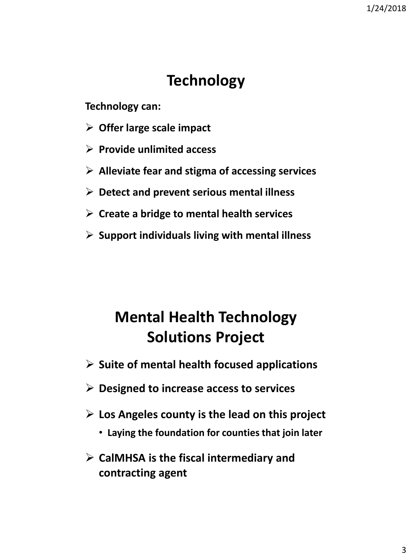## **Technology**

**Technology can:** 

- **Offer large scale impact**
- **Provide unlimited access**
- **Alleviate fear and stigma of accessing services**
- **Detect and prevent serious mental illness**
- **Create a bridge to mental health services**
- **Support individuals living with mental illness**

# **Mental Health Technology Solutions Project**

- **Suite of mental health focused applications**
- **Designed to increase access to services**
- **Los Angeles county is the lead on this project**
	- **Laying the foundation for counties that join later**
- **CalMHSA is the fiscal intermediary and contracting agent**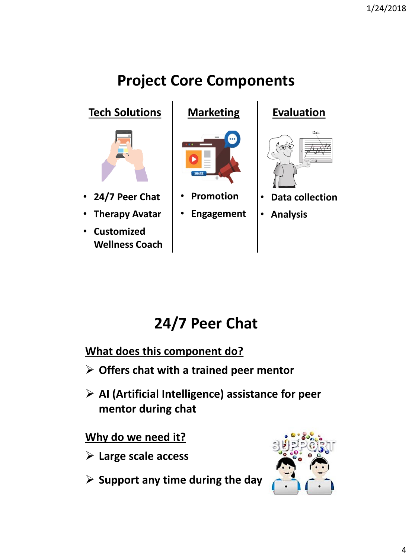# **Project Core Components**

**Tech Solutions | Marketing | Evaluation** 



• **24/7 Peer Chat** 

• **Therapy Avatar**

• **Customized Wellness Coach**



- **Promotion**
- **Engagement**



<sup>•</sup> **Analysis**

# **24/7 Peer Chat**

**What does this component do?** 

- **Offers chat with a trained peer mentor**
- **AI (Artificial Intelligence) assistance for peer mentor during chat**

**Why do we need it?** 

- **Large scale access**
- **Support any time during the day**

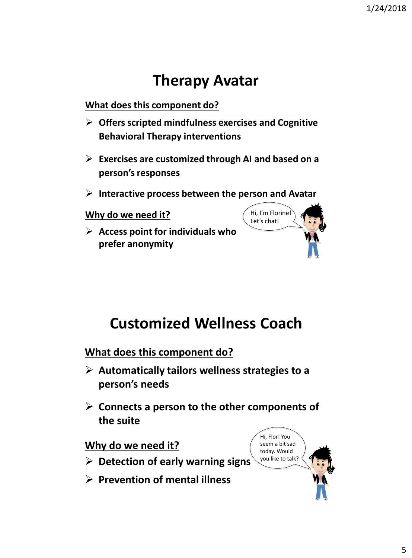## **Therapy Avatar**

**What does this component do?** 

- **Offers scripted mindfulness exercises and Cognitive Behavioral Therapy interventions**
- **Exercises are customized through AI and based on a person's responses**
- **Interactive process between the person and Avatar**

**Why do we need it?** 

 **Access point for individuals who prefer anonymity** 



# **Customized Wellness Coach**

**What does this component do?** 

- **Automatically tailors wellness strategies to a person's needs**
- **Connects a person to the other components of the suite**

**Why do we need it?** 

- **Detection of early warning signs**
- **Prevention of mental illness**

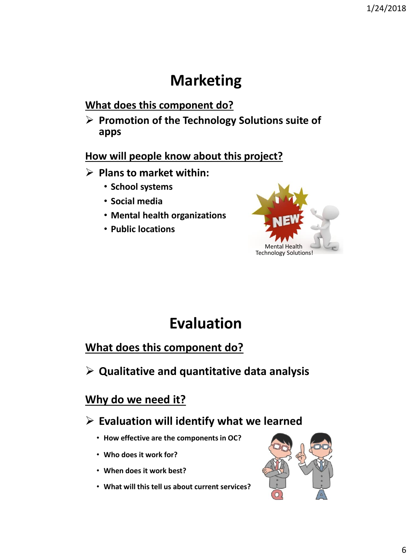## **Marketing**

#### **What does this component do?**

 **Promotion of the Technology Solutions suite of apps**

#### **How will people know about this project?**

- **Plans to market within:**
	- **School systems**
	- **Social media**
	- **Mental health organizations**
	- **Public locations**



## **Evaluation**

#### **What does this component do?**

**Qualitative and quantitative data analysis**

#### **Why do we need it?**

#### **Evaluation will identify what we learned**

- **How effective are the components in OC?**
- **Who does it work for?**
- **When does it work best?**
- **What will this tell us about current services?**

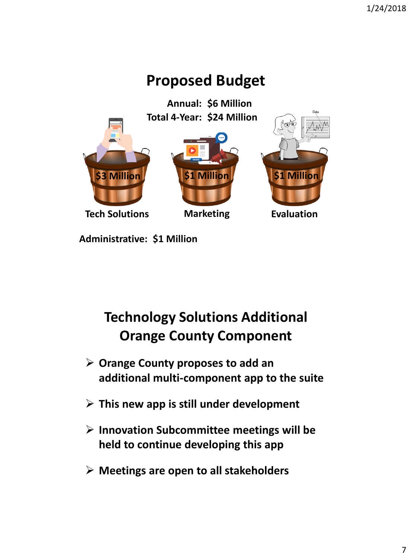# **Proposed Budget**

**\$6 Million Annual: Tech Solutions Marketing <b>Evaluation \$3 Million \$1 Million \$1 Million Total 4-Year: \$24 Million**

**Administrative: \$1 Million**

## **Technology Solutions Additional Orange County Component**

- **Orange County proposes to add an additional multi-component app to the suite**
- **This new app is still under development**
- **Innovation Subcommittee meetings will be held to continue developing this app**
- **Meetings are open to all stakeholders**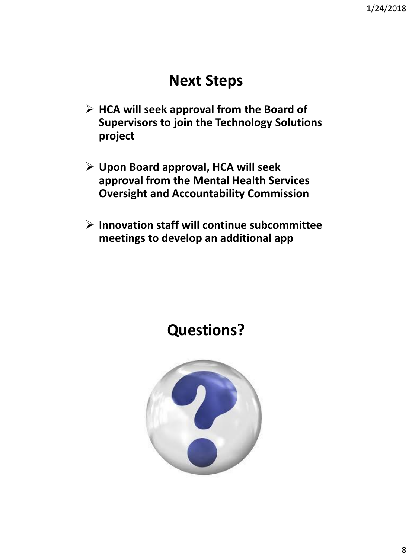### **Next Steps**

- **HCA will seek approval from the Board of Supervisors to join the Technology Solutions project**
- **Upon Board approval, HCA will seek approval from the Mental Health Services Oversight and Accountability Commission**
- **Innovation staff will continue subcommittee meetings to develop an additional app**



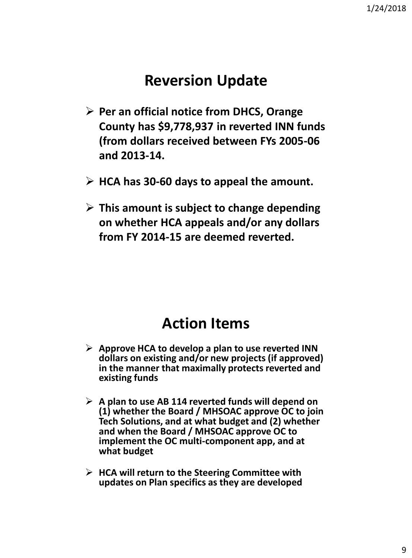### **Reversion Update**

- **Per an official notice from DHCS, Orange County has \$9,778,937 in reverted INN funds (from dollars received between FYs 2005-06 and 2013-14.**
- **HCA has 30-60 days to appeal the amount.**
- **This amount is subject to change depending on whether HCA appeals and/or any dollars from FY 2014-15 are deemed reverted.**

### **Action Items**

- **Approve HCA to develop a plan to use reverted INN dollars on existing and/or new projects (if approved) in the manner that maximally protects reverted and existing funds**
- **A plan to use AB 114 reverted funds will depend on (1) whether the Board / MHSOAC approve OC to join Tech Solutions, and at what budget and (2) whether and when the Board / MHSOAC approve OC to implement the OC multi-component app, and at what budget**
- **HCA will return to the Steering Committee with updates on Plan specifics as they are developed**